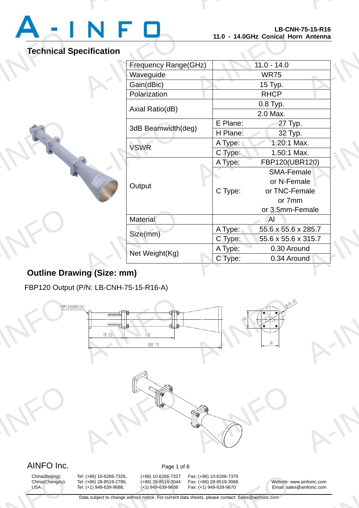# Technical S

A-INFORMATION CONTINUES.

A-INFO

A-INFO

A-INFO

A-INFORMATION CONTINUES.

# **Technical Specification**

A-INFORMACIÓN

|                      |          | LD-UNN-10-10-N10<br>11.0 - 14.0GHz Conical Horn Antenna |  |
|----------------------|----------|---------------------------------------------------------|--|
|                      |          |                                                         |  |
| Frequency Range(GHz) |          | $11.0 - 14.0$                                           |  |
| Waveguide            |          | <b>WR75</b>                                             |  |
| Gain(dBic)           |          | 15 Typ.                                                 |  |
| Polarization         |          | <b>RHCP</b>                                             |  |
| Axial Ratio(dB)      |          | 0.8 Typ.                                                |  |
|                      |          | 2.0 Max.                                                |  |
| 3dB Beamwidth(deg)   | E Plane: | 27 Typ.                                                 |  |
|                      | H Plane: | 32 Typ.                                                 |  |
| <b>VSWR</b>          | A Type:  | 1.20:1 Max.                                             |  |
|                      | C Type:  | 1.50:1 Max.                                             |  |
| Output               | A Type:  | FBP120(UBR120)                                          |  |
|                      |          | <b>SMA-Female</b>                                       |  |
|                      |          | or N-Female                                             |  |
|                      | C Type:  | or TNC-Female                                           |  |
|                      |          | or 7mm                                                  |  |
|                      |          | or 3.5mm-Female                                         |  |
| <b>Material</b>      |          | Al                                                      |  |
| Size(mm)             | A Type:  | 55.6 x 55.6 x 285.7                                     |  |
|                      | C Type:  | 55.6 x 55.6 x 315.7                                     |  |
| Net Weight(Kg)       | A Type:  | 0.30 Around                                             |  |
|                      | C Type:  | 0.34 Around                                             |  |

# **Outline Drawing (Size: mm) AND CONTROL**

FBP120 Output (P/N: LB-CNH-75-15-R16-A)



# AINFO Inc. Page 1 of 8

China(Beijing):<br>China(Chengdu):<br>USA :

A: (+86) 10-6266-7326, (+86) 10-6266-7327<br>A: (+86) 28-8519-2786, (+86) 28-8519-3044<br>A: (+1) 949-639-9688, (+1) 949-639-9608<br>Data subject to change without notice. For current d

China(Beijing): Tel: (+86) 10-6266-7326, (+86) 10-6266-7327 Fax: (+86) 10-6266-7379<br>China(Chengdu): Tel: (+86) 28-8519-2786, (+86) 28-8519-3044 Fax: (+86) 28-8519-3068 x: (+86) 10-6266-7379<br>x: (+86) 28-8519-3068<br>x: (+1) 949-639-9670 Email: sale<br>heets, please contact: Sales@ainfoinc.com

Website: www.ainfoinc.com USA : Tel: (+1) 949-639-9688, (+1) 949-639-9608 Fax: (+1) 949-639-9670 Email: sales@ainfoinc.com infoinc.com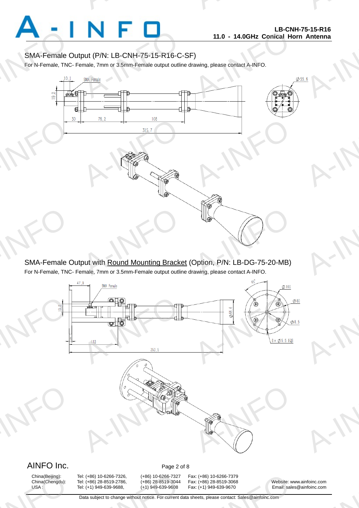

A-INFO

A-INFORMATION CONTINUES.

# SMA-Female Output (P/N: LB-CNH-75-15-R16-C-SF)

For N-Female, TNC- Female, 7mm or 3.5mm-Female output outline drawing, please contact A-INFO.

A-INFORMATION CONTINUES.



SMA-Female Output with Round Mounting Bracket (Option, P/N: LB-DG-75-20-MB) For N-Female, TNC- Female, 7mm or 3.5mm-Female output outline drawing, please contact A-INFO.



China(Beijing):<br>China(Chengdu):<br>USA :

A: (+86) 10-6266-7326, (+86) 10-6266-7327<br>A: (+86) 28-8519-2786, (+86) 28-8519-3044<br>A: (+1) 949-639-9688, (+1) 949-639-9608<br>Data subject to change without notice. For current d

China(Beijing): Tel: (+86) 10-6266-7326, (+86) 10-6266-7327 Fax: (+86) 10-6266-7379

China(Chengdu): Tel: (+86) 28-8519-2786, (+86) 28-8519-3044 Fax: (+86) 28-8519-3068 Website: www.ainfoinc.com USA : Tel: (+1) 949-639-9688, (+1) 949-639-9608 Fax: (+1) 949-639-9670 Email: sales@ainfoinc.com infoinc.com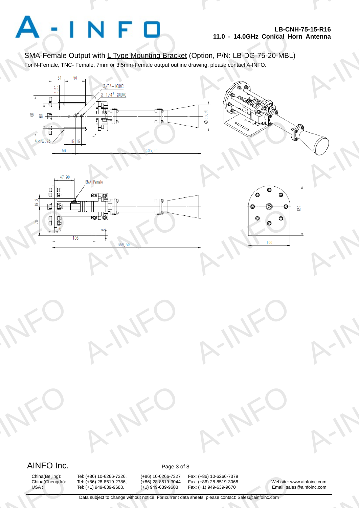

A-INFO

A-INFO

A-INFO

## SMA-Female Output with L Type Mounting Bracket (Option, P/N: LB-DG-75-20-MBL)

For N-Female, TNC- Female, 7mm or 3.5mm-Female output outline drawing, please contact A-INFO.

A-INFORMATION CONTINUES.





A-INFORMATION CONTINUES.



A-IFO

A-IFO



A-IFO

A-IFO

# AINFO Inc. Page 3 of 8

A-INFO

A-INFO

China(Beijing):<br>China(Chengdu):<br>USA :

A: (+86) 10-6266-7326, (+86) 10-6266-7327<br>A: (+86) 28-8519-2786, (+86) 28-8519-3044<br>A: (+1) 949-639-9688, (+1) 949-639-9608<br>Data subject to change without notice. For current d

China(Beijing): Tel: (+86) 10-6266-7326, (+86) 10-6266-7327 Fax: (+86) 10-6266-7379

x: (+86) 10-6266-7379<br>x: (+86) 28-8519-3068<br>x: (+1) 949-639-9670 Email: sale<br>heets, please contact: Sales@ainfoinc.com

Website: www.ainfoinc.com USA : Tel: (+1) 949-639-9688, (+1) 949-639-9608 Fax: (+1) 949-639-9670 Email: sales@ainfoinc.com infoinc.com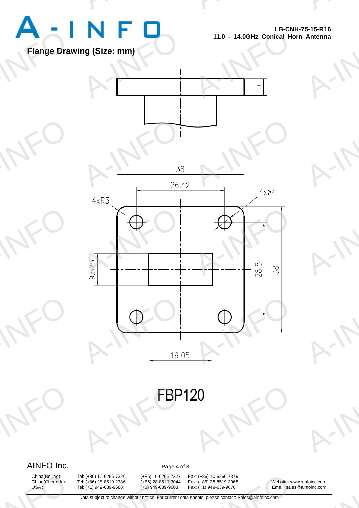

A-INFO

A-INFO

A-INFO

A-INFO

A-INFO

A-INFORMATION CONTINUES.

# **Flange Drawing (Size: mm)**

A-INFO

A-INFO

A-INFO

A-INFO



A-INFORM A-INFO

# AINFO Inc. Page 4 of 8

China(Beijing):<br>China(Chengdu):<br>USA :

China(Beijing): Tel: (+86) 10-6266-7326, (+86) 10-6266-7327 Fax: (+86) 10-6266-7379<br>China(Chengdu): Tel: (+86) 28-8519-2786, (+86) 28-8519-3044 Fax: (+86) 28-8519-3068 x: (+86) 10-6266-7379<br>x: (+86) 28-8519-3068<br>x: (+1) 949-639-9670 Email: sale<br>heets, please contact: Sales@ainfoinc.com

Tel: (+86) 28-8519-2786, (+86) 28-8519-3044 Fax: (+86) 28-8519-3068 Website: www.ainfoinc.com<br>Tel: (+1) 949-639-9688, (+1) 949-639-9608 Fax: (+1) 949-639-9670 Email: sales@ainfoinc.com USA : Tel: (+1) 949-639-9688, (+1) 949-639-9608 Fax: (+1) 949-639-9670 Email: sales@ainfoinc.com infoinc.com

Data subject to change without notice. For current data sheets, please contact: Sales@ainfoinc.com A: (+86) 10-6266-7326, (+86) 10-6266-7327<br>A: (+86) 28-8519-2786, (+86) 28-8519-3044<br>A: (+1) 949-639-9688, (+1) 949-639-9608<br>Data subject to change without notice. For current d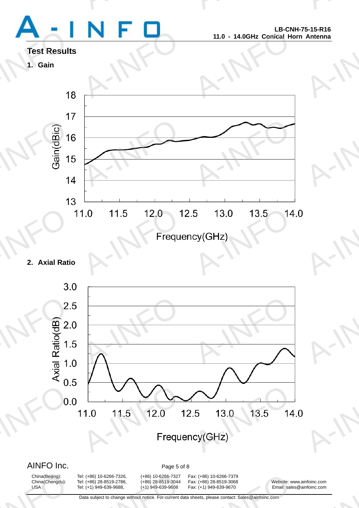# Test Result<br>1. Gain<br>1.

A-INFORMATION CONTINUES.

A-INFO

A-INFORMATION CONTINUES.

# **Test Results**

**1. Gain** 



# **2. Axial Ratio**



# AINFO Inc. Page 5 of 8

China(Beijing):<br>China(Chengdu):<br>USA :

A: (+86) 10-6266-7326, (+86) 10-6266-7327<br>A: (+86) 28-8519-2786, (+86) 28-8519-3044<br>A: (+1) 949-639-9688, (+1) 949-639-9608<br>Data subject to change without notice. For current d

China(Beijing): Tel: (+86) 10-6266-7326, (+86) 10-6266-7327 Fax: (+86) 10-6266-7379 x: (+86) 10-6266-7379<br>x: (+86) 28-8519-3068<br>x: (+1) 949-639-9670 Email: sale<br>heets, please contact: Sales@ainfoinc.com

China(Chengdu): Tel: (+86) 28-8519-2786, (+86) 28-8519-3044 Fax: (+86) 28-8519-3068 Website: www.ainfoinc.com USA : Tel: (+1) 949-639-9688, (+1) 949-639-9608 Fax: (+1) 949-639-9670 Email: sales@ainfoinc.com infoinc.com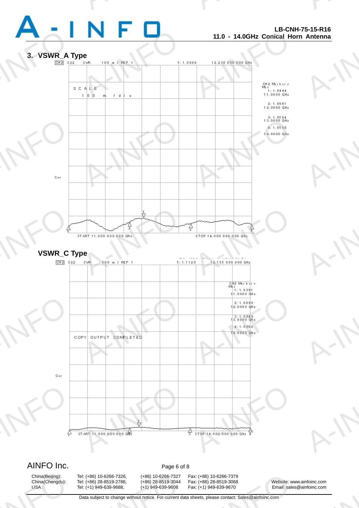

## **LB-CNH-75-15-R16 11.0 - 14.0GHz Conical Horn Antenna**

A-INFO

A-INFORMATION CONTINUES.



AINFO Inc. Page 6 of 8

China(Beijing):<br>China(Chengdu):<br>USA :

A: (+86) 10-6266-7326, (+86) 10-6266-7327<br>A: (+86) 28-8519-2786, (+86) 28-8519-3044<br>A: (+1) 949-639-9688, (+1) 949-639-9608<br>Data subject to change without notice. For current d

China(Beijing): Tel: (+86) 10-6266-7326, (+86) 10-6266-7327 Fax: (+86) 10-6266-7379 x: (+86) 10-6266-7379<br>x: (+86) 28-8519-3068<br>x: (+1) 949-639-9670 Email: sale<br>heets, please contact: Sales@ainfoinc.com

China(Chengdu): Tel: (+86) 28-8519-2786, (+86) 28-8519-3044 Fax: (+86) 28-8519-3068 Website: www.ainfoinc.com USA : Tel: (+1) 949-639-9688, (+1) 949-639-9608 Fax: (+1) 949-639-9670 Email: sales@ainfoinc.com infoinc.com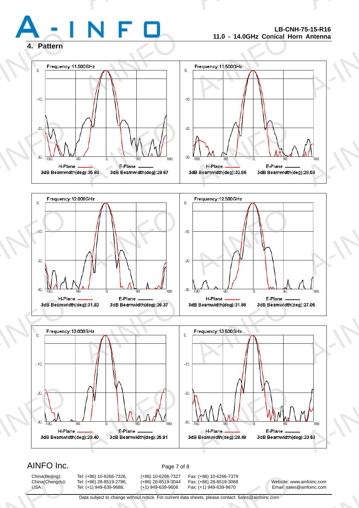

A-INFO

A-INFORMATION CONTINUES.







# AINFO Inc. Page 7 of 8

China(Beijing):<br>China(Chengdu):<br>USA :

A: (+86) 10-6266-7326, (+86) 10-6266-7327<br>A: (+86) 28-8519-2786, (+86) 28-8519-3044<br>A: (+1) 949-639-9688, (+1) 949-639-9608<br>Data subject to change without notice. For current d

China(Beijing): Tel: (+86) 10-6266-7326, (+86) 10-6266-7327 Fax: (+86) 10-6266-7379 x: (+86) 10-6266-7379<br>x: (+86) 28-8519-3068<br>x: (+1) 949-639-9670 Email: sale<br>heets, please contact: Sales@ainfoinc.com

China(Chengdu): Tel: (+86) 28-8519-2786, (+86) 28-8519-3044 Fax: (+86) 28-8519-3068 Website: www.ainfoinc.com USA : Tel: (+1) 949-639-9688, (+1) 949-639-9608 Fax: (+1) 949-639-9670 Email: sales@ainfoinc.com infoinc.com